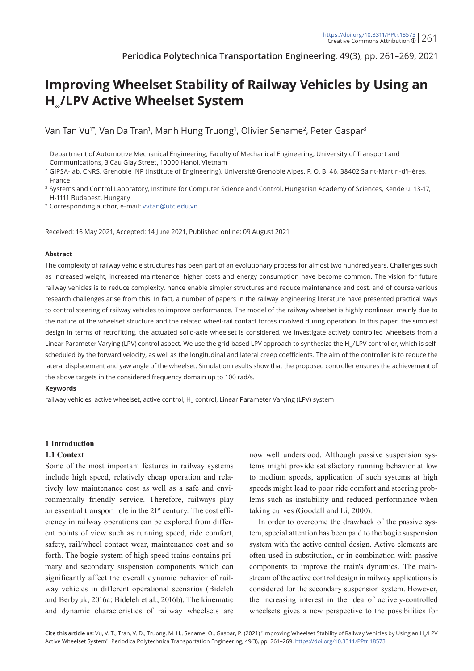**Periodica Polytechnica Transportation Engineering**, 49(3), pp. 261–269, 2021

# **Improving Wheelset Stability of Railway Vehicles by Using an H∞/LPV Active Wheelset System**

Van Tan Vu'\*, Van Da Tran', Manh Hung Truong', Olivier Sename<sup>2</sup>, Peter Gaspar<sup>3</sup>

\* Corresponding author, e-mail: [vvtan@utc.edu.vn](mailto:vvtan%40utc.edu.vn?subject=)

Received: 16 May 2021, Accepted: 14 June 2021, Published online: 09 August 2021

#### **Abstract**

The complexity of railway vehicle structures has been part of an evolutionary process for almost two hundred years. Challenges such as increased weight, increased maintenance, higher costs and energy consumption have become common. The vision for future railway vehicles is to reduce complexity, hence enable simpler structures and reduce maintenance and cost, and of course various research challenges arise from this. In fact, a number of papers in the railway engineering literature have presented practical ways to control steering of railway vehicles to improve performance. The model of the railway wheelset is highly nonlinear, mainly due to the nature of the wheelset structure and the related wheel-rail contact forces involved during operation. In this paper, the simplest design in terms of retrofitting, the actuated solid-axle wheelset is considered, we investigate actively controlled wheelsets from a Linear Parameter Varying (LPV) control aspect. We use the grid-based LPV approach to synthesize the H<sub>∞</sub>/LPV controller, which is selfscheduled by the forward velocity, as well as the longitudinal and lateral creep coefficients. The aim of the controller is to reduce the lateral displacement and yaw angle of the wheelset. Simulation results show that the proposed controller ensures the achievement of the above targets in the considered frequency domain up to 100 rad/s.

#### **Keywords**

railway vehicles, active wheelset, active control, H<sub>∞</sub> control, Linear Parameter Varying (LPV) system

#### **1 Introduction**

#### **1.1 Context**

Some of the most important features in railway systems include high speed, relatively cheap operation and relatively low maintenance cost as well as a safe and environmentally friendly service. Therefore, railways play an essential transport role in the 21st century. The cost efficiency in railway operations can be explored from different points of view such as running speed, ride comfort, safety, rail/wheel contact wear, maintenance cost and so forth. The bogie system of high speed trains contains primary and secondary suspension components which can significantly affect the overall dynamic behavior of railway vehicles in different operational scenarios (Bideleh and Berbyuk, 2016a; Bideleh et al., 2016b). The kinematic and dynamic characteristics of railway wheelsets are

now well understood. Although passive suspension systems might provide satisfactory running behavior at low to medium speeds, application of such systems at high speeds might lead to poor ride comfort and steering problems such as instability and reduced performance when taking curves (Goodall and Li, 2000).

In order to overcome the drawback of the passive system, special attention has been paid to the bogie suspension system with the active control design. Active elements are often used in substitution, or in combination with passive components to improve the train's dynamics. The mainstream of the active control design in railway applications is considered for the secondary suspension system. However, the increasing interest in the idea of actively-controlled wheelsets gives a new perspective to the possibilities for

<sup>1</sup> Department of Automotive Mechanical Engineering, Faculty of Mechanical Engineering, University of Transport and Communications, 3 Cau Giay Street, 10000 Hanoi, Vietnam

<sup>&</sup>lt;sup>2</sup> GIPSA-lab, CNRS, Grenoble INP (Institute of Engineering), Université Grenoble Alpes, P. O. B. 46, 38402 Saint-Martin-d'Hères, France

<sup>&</sup>lt;sup>3</sup> Systems and Control Laboratory, Institute for Computer Science and Control, Hungarian Academy of Sciences, Kende u. 13-17, H-1111 Budapest, Hungary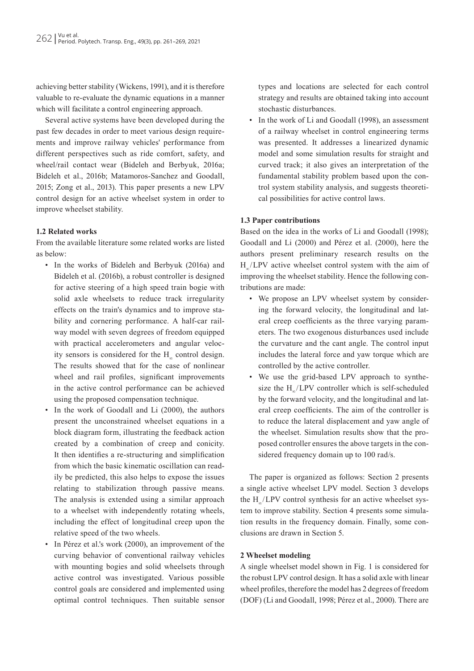achieving better stability (Wickens, 1991), and it is therefore valuable to re-evaluate the dynamic equations in a manner which will facilitate a control engineering approach.

Several active systems have been developed during the past few decades in order to meet various design requirements and improve railway vehicles' performance from different perspectives such as ride comfort, safety, and wheel/rail contact wear (Bideleh and Berbyuk, 2016a; Bideleh et al., 2016b; Matamoros-Sanchez and Goodall, 2015; Zong et al., 2013). This paper presents a new LPV control design for an active wheelset system in order to improve wheelset stability.

## **1.2 Related works**

From the available literature some related works are listed as below:

- In the works of Bideleh and Berbyuk (2016a) and Bideleh et al. (2016b), a robust controller is designed for active steering of a high speed train bogie with solid axle wheelsets to reduce track irregularity effects on the train's dynamics and to improve stability and cornering performance. A half-car railway model with seven degrees of freedom equipped with practical accelerometers and angular velocity sensors is considered for the  $H_{\infty}$  control design. The results showed that for the case of nonlinear wheel and rail profiles, significant improvements in the active control performance can be achieved using the proposed compensation technique.
- In the work of Goodall and Li (2000), the authors present the unconstrained wheelset equations in a block diagram form, illustrating the feedback action created by a combination of creep and conicity. It then identifies a re-structuring and simplification from which the basic kinematic oscillation can readily be predicted, this also helps to expose the issues relating to stabilization through passive means. The analysis is extended using a similar approach to a wheelset with independently rotating wheels, including the effect of longitudinal creep upon the relative speed of the two wheels.
- In Pérez et al.'s work (2000), an improvement of the curving behavior of conventional railway vehicles with mounting bogies and solid wheelsets through active control was investigated. Various possible control goals are considered and implemented using optimal control techniques. Then suitable sensor

types and locations are selected for each control strategy and results are obtained taking into account stochastic disturbances.

• In the work of Li and Goodall (1998), an assessment of a railway wheelset in control engineering terms was presented. It addresses a linearized dynamic model and some simulation results for straight and curved track; it also gives an interpretation of the fundamental stability problem based upon the control system stability analysis, and suggests theoretical possibilities for active control laws.

## **1.3 Paper contributions**

Based on the idea in the works of Li and Goodall (1998); Goodall and Li (2000) and Pérez et al. (2000), here the authors present preliminary research results on the H<sub>∞</sub>/LPV active wheelset control system with the aim of improving the wheelset stability. Hence the following contributions are made:

- We propose an LPV wheelset system by considering the forward velocity, the longitudinal and lateral creep coefficients as the three varying parameters. The two exogenous disturbances used include the curvature and the cant angle. The control input includes the lateral force and yaw torque which are controlled by the active controller.
- We use the grid-based LPV approach to synthesize the H<sub>∞</sub>/LPV controller which is self-scheduled by the forward velocity, and the longitudinal and lateral creep coefficients. The aim of the controller is to reduce the lateral displacement and yaw angle of the wheelset. Simulation results show that the proposed controller ensures the above targets in the considered frequency domain up to 100 rad/s.

The paper is organized as follows: Section 2 presents a single active wheelset LPV model. Section 3 develops the H∪LPV control synthesis for an active wheelset system to improve stability. Section 4 presents some simulation results in the frequency domain. Finally, some conclusions are drawn in Section 5.

### **2 Wheelset modeling**

A single wheelset model shown in Fig. 1 is considered for the robust LPV control design. It has a solid axle with linear wheel profiles, therefore the model has 2 degrees of freedom (DOF) (Li and Goodall, 1998; Pérez et al., 2000). There are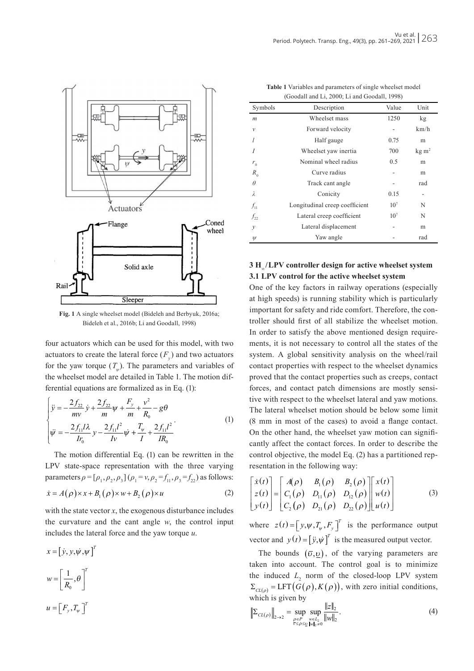

**Fig. 1** A single wheelset model (Bideleh and Berbyuk, 2016a; Bideleh et al., 2016b; Li and Goodall, 1998)

four actuators which can be used for this model, with two actuators to create the lateral force  $(F_y)$  and two actuators for the yaw torque  $(T_{\mu})$ . The parameters and variables of the wheelset model are detailed in Table 1. The motion differential equations are formalized as in Eq. (1):

$$
\begin{cases}\n\ddot{y} = -\frac{2f_{22}}{mv}\dot{y} + \frac{2f_{22}}{m}\psi + \frac{F_y}{m} + \frac{v^2}{R_0} - g\theta \\
\dot{\psi} = -\frac{2f_{11}/\lambda}{Ir_0}y - \frac{2f_{11}/^2}{Iv}\dot{\psi} + \frac{T_y}{I} + \frac{2f_{11}/^2}{IR_0}\n\end{cases}
$$
\n(1)

The motion differential Eq. (1) can be rewritten in the LPV state-space representation with the three varying parameters  $\rho = [\rho_1, \rho_2, \rho_3]$   $(\rho_1 = v, \rho_2 = f_{11}, \rho_3 = f_{22})$  as follows:  $\dot{x} = A(\rho) \times x + B_1(\rho) \times w + B_2(\rho) \times u$  (2)

with the state vector  $x$ , the exogenous disturbance includes the curvature and the cant angle *w*, the control input includes the lateral force and the yaw torque *u*.

$$
x = [y, y, \psi, \psi]^T
$$

$$
w = \left[\frac{1}{R_0}, \theta\right]^T
$$

$$
u = [F_y, T_y]^T
$$

| (Goodan and Li, 2000, Li and Goodan, 1998) |                                |                 |            |  |
|--------------------------------------------|--------------------------------|-----------------|------------|--|
| Symbols                                    | Description                    | Value           | Unit       |  |
| $\mathfrak{m}$                             | Wheelset mass                  | 1250            | kg         |  |
| $\mathcal V$                               | Forward velocity               |                 | km/h       |  |
|                                            | Half gauge                     | 0.75            | m          |  |
|                                            | Wheelset yaw inertia           | 700             | $kg \, m2$ |  |
| $r_{0}$                                    | Nominal wheel radius           | 0.5             | m          |  |
| $R_0$                                      | Curve radius                   |                 | m          |  |
| $\theta$                                   | Track cant angle               |                 | rad        |  |
| λ                                          | Conicity                       | 0.15            |            |  |
| $f_{11}$                                   | Longitudinal creep coefficient | 10 <sup>7</sup> | N          |  |
| $f_{22}$                                   | Lateral creep coefficient      | 10 <sup>7</sup> | N          |  |
| $\mathcal{Y}$                              | Lateral displacement           |                 | m          |  |
| $\psi$                                     | Yaw angle                      |                 | rad        |  |

| <b>Table 1</b> Variables and parameters of single wheelset model |
|------------------------------------------------------------------|
| (Goodall and Li, 2000; Li and Goodall, 1998)                     |

# **3 H∞ / LPV controller design for active wheelset system 3.1 LPV control for the active wheelset system**

One of the key factors in railway operations (especially at high speeds) is running stability which is particularly important for safety and ride comfort. Therefore, the controller should first of all stabilize the wheelset motion. In order to satisfy the above mentioned design requirements, it is not necessary to control all the states of the system. A global sensitivity analysis on the wheel/rail contact properties with respect to the wheelset dynamics proved that the contact properties such as creeps, contact forces, and contact patch dimensions are mostly sensitive with respect to the wheelset lateral and yaw motions. The lateral wheelset motion should be below some limit (8 mm in most of the cases) to avoid a flange contact. On the other hand, the wheelset yaw motion can significantly affect the contact forces. In order to describe the control objective, the model Eq. (2) has a partitioned representation in the following way:

$$
\begin{bmatrix}\n\dot{x}(t) \\
z(t) \\
y(t)\n\end{bmatrix} =\n\begin{bmatrix}\nA(\rho) & B_1(\rho) & B_2(\rho) \\
C_1(\rho) & D_{11}(\rho) & D_{12}(\rho) \\
C_2(\rho) & D_{21}(\rho) & D_{22}(\rho)\n\end{bmatrix}\n\begin{bmatrix}\nx(t) \\
w(t) \\
u(t)\n\end{bmatrix}
$$
\n(3)

where  $z(t) = [y, \psi, T_{\psi}, F_{y}]^{T}$  is the performance output vector and  $y(t) = [\ddot{y}, \dot{\psi}]^T$  is the measured output vector.

The bounds  $(\bar{v}, v)$ , of the varying parameters are taken into account. The control goal is to minimize the induced  $L_2$  norm of the closed-loop LPV system  $\Sigma_{CL(\rho)} = \text{LFT}(G(\rho), K(\rho)),$  with zero initial conditions, which is given by

$$
\left\| \Sigma_{CL(\rho)} \right\|_{2 \to 2} = \sup_{\substack{\rho \in P \\ \tilde{v} \le \rho \le \underline{v} \text{ with } \rho > 0}} \sup_{\|w\|_2 = 0} \frac{\|z\|_2}{\|w\|_2}.
$$
 (4)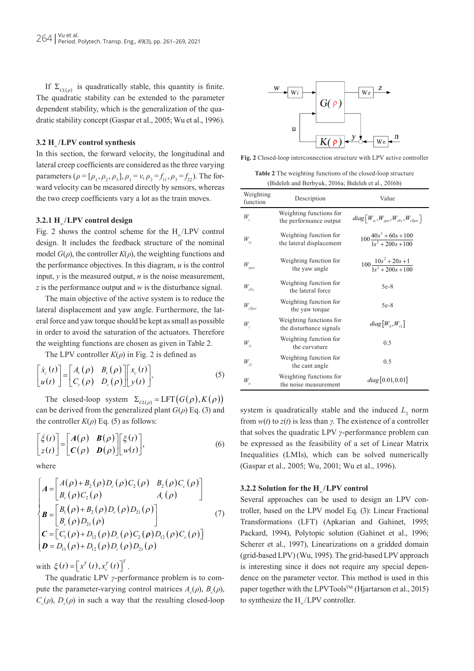If  $\Sigma_{CL(\rho)}$  is quadratically stable, this quantity is finite. The quadratic stability can be extended to the parameter dependent stability, which is the generalization of the quadratic stability concept (Gaspar et al., 2005; Wu et al., 1996).

#### **3.2 H∞ / LPV control synthesis**

In this section, the forward velocity, the longitudinal and lateral creep coefficients are considered as the three varying parameters ( $\rho = [\rho_1, \rho_2, \rho_3]$ ,  $\rho_1 = v$ ,  $\rho_2 = f_{11}$ ,  $\rho_3 = f_{22}$ ). The forward velocity can be measured directly by sensors, whereas the two creep coefficients vary a lot as the train moves.

#### **3.2.1 H∞ / LPV control design**

Fig. 2 shows the control scheme for the  $H_{\sim}/LPV$  control design. It includes the feedback structure of the nominal model  $G(\rho)$ , the controller  $K(\rho)$ , the weighting functions and the performance objectives. In this diagram, *u* is the control input, *y* is the measured output, *n* is the noise measurement, *z* is the performance output and *w* is the disturbance signal.

The main objective of the active system is to reduce the lateral displacement and yaw angle. Furthermore, the lateral force and yaw torque should be kept as small as possible in order to avoid the saturation of the actuators. Therefore the weighting functions are chosen as given in Table 2.

The LPV controller  $K(\rho)$  in Fig. 2 is defined as

$$
\begin{bmatrix} \dot{x}_c(t) \\ u(t) \end{bmatrix} = \begin{bmatrix} A_c(\rho) & B_c(\rho) \\ C_c(\rho) & D_c(\rho) \end{bmatrix} \begin{bmatrix} x_c(t) \\ y(t) \end{bmatrix} . \tag{5}
$$

The closed-loop system  $\Sigma_{CL(\rho)} = \text{LFT}(G(\rho), K(\rho))$ can be derived from the generalized plant  $G(\rho)$  Eq. (3) and the controller  $K(\rho)$  Eq. (5) as follows:

$$
\begin{bmatrix} \dot{\xi}(t) \\ z(t) \end{bmatrix} = \begin{bmatrix} A(\rho) & B(\rho) \\ C(\rho) & D(\rho) \end{bmatrix} \begin{bmatrix} \xi(t) \\ w(t) \end{bmatrix},
$$
\n(6)

where

$$
\begin{cases}\nA = \begin{bmatrix}\nA(\rho) + B_2(\rho)D_c(\rho)C_2(\rho) & B_2(\rho)C_c(\rho) \\
B_c(\rho)C_2(\rho) & A_c(\rho)\n\end{bmatrix} \\
B = \begin{bmatrix}\nB_1(\rho) + B_2(\rho)D_c(\rho)D_{21}(\rho) \\
B_c(\rho)D_{21}(\rho)\n\end{bmatrix} (7) \\
C = \begin{bmatrix}\nC_1(\rho) + D_{12}(\rho)D_c(\rho)C_2(\rho)D_{12}(\rho)C_c(\rho)\n\end{bmatrix} \\
D = D_{11}(\rho) + D_{12}(\rho)D_c(\rho)D_{21}(\rho)\n\end{cases}
$$

with  $\xi(t) = \left[x^T(t), x_c^T(t)\right]^T$ .

The quadratic LPV *γ*-performance problem is to compute the parameter-varying control matrices  $A_c(\rho)$ ,  $B_c(\rho)$ ,  $C_c(\rho)$ ,  $D_c(\rho)$  in such a way that the resulting closed-loop



**Fig. 2** Closed-loop interconnection structure with LPV active controller

**Table 2** The weighting functions of the closed-loop structure (Bideleh and Berbyuk, 2016a; Bideleh et al., 2016b)

| Weighting<br>function      | Description                                        | Value                                            |
|----------------------------|----------------------------------------------------|--------------------------------------------------|
| $W_{\tau}$                 | Weighting functions for<br>the performance output  | $diag[W_{zy}, W_{zpsi}, W_{zFy}, W_{zTpsi}]$     |
| $W_{zv}$                   | Weighting function for<br>the lateral displacement | $100\frac{40s^2 + 60s + 100}{1s^2 + 200s + 100}$ |
| $W_{_{2psi}}$              | Weighting function for<br>the yaw angle            | $100\frac{10s^2 + 20s + 1}{1s^2 + 200s + 100}$   |
| $W_{zFy}$                  | Weighting function for<br>the lateral force        | $5e-8$                                           |
| $W_{\mathit{zTpsi}}$       | Weighting function for<br>the yaw torque           | $5e-8$                                           |
| W,                         | Weighting functions for<br>the disturbance signals | $diag[W_{i1}, W_{i2}]$                           |
| $W_{i1}$                   | Weighting function for<br>the curvature            | 0.5                                              |
| $W_{i2}$                   | Weighting function for<br>the cant angle           | 0.5                                              |
| $W_{\scriptscriptstyle n}$ | Weighting functions for<br>the noise measurement   | diag[0.01, 0.01]                                 |

system is quadratically stable and the induced  $L<sub>2</sub>$  norm from *w*(*t*) to *z*(*t*) is less than *γ*. The existence of a controller that solves the quadratic LPV *γ*-performance problem can be expressed as the feasibility of a set of Linear Matrix Inequalities (LMIs), which can be solved numerically (Gaspar et al., 2005; Wu, 2001; Wu et al., 1996).

#### **3.2.2 Solution for the H∞ / LPV control**

Several approaches can be used to design an LPV controller, based on the LPV model Eq. (3): Linear Fractional Transformations (LFT) (Apkarian and Gahinet, 1995; Packard, 1994), Polytopic solution (Gahinet et al., 1996; Scherer et al., 1997), Linearizations on a gridded domain (grid-based LPV) (Wu, 1995). The grid-based LPV approach is interesting since it does not require any special dependence on the parameter vector. This method is used in this paper together with the  $LPVTools^{TM}$  (Hjartarson et al., 2015) to synthesize the H<sub>∞</sub>/LPV controller.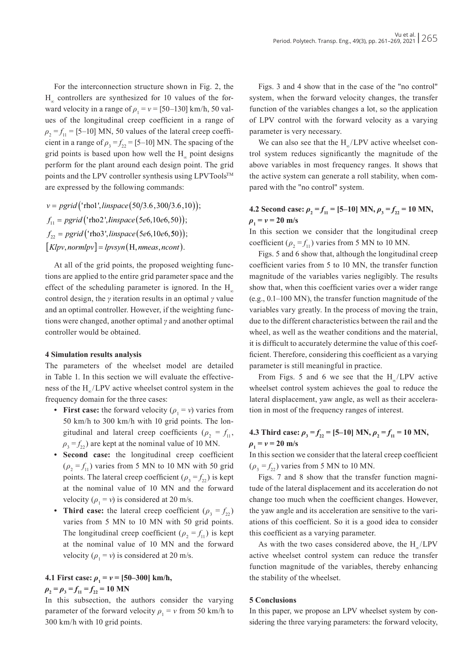For the interconnection structure shown in Fig. 2, the  $H<sub>∞</sub>$  controllers are synthesized for 10 values of the forward velocity in a range of  $\rho_1 = v = [50 - 130]$  km/h, 50 values of the longitudinal creep coefficient in a range of  $\rho_2 = f_{11} = [5-10]$  MN, 50 values of the lateral creep coefficient in a range of  $\rho_3 = f_{22} = [5-10]$  MN. The spacing of the grid points is based upon how well the H<sub>∞</sub> point designs perform for the plant around each design point. The grid points and the LPV controller synthesis using  $L$ PVTools<sup>TM</sup> are expressed by the following commands:

*v* = pgrid ('rhol', linspace (50/3.6,300/3.6,10));  $f_{11} = pgrid(\text{ 'rho2', } \text{linspace}(5e6, 10e6, 50));$  $f_{22} = pgrid(\text{'rho3}', \text{linspace}(5e6, 10e6, 50));$  $[Klpv, normlpv] = lpvsyn(H, nmeas, ncont).$ 

At all of the grid points, the proposed weighting functions are applied to the entire grid parameter space and the effect of the scheduling parameter is ignored. In the  $H_{\infty}$ control design, the *γ* iteration results in an optimal *γ* value and an optimal controller. However, if the weighting functions were changed, another optimal *γ* and another optimal controller would be obtained.

#### **4 Simulation results analysis**

The parameters of the wheelset model are detailed in Table 1. In this section we will evaluate the effectiveness of the H<sub>∞</sub>/LPV active wheelset control system in the frequency domain for the three cases:

- **First case:** the forward velocity  $(\rho_1 = v)$  varies from 50 km/h to 300 km/h with 10 grid points. The longitudinal and lateral creep coefficients ( $\rho_2 = f_{11}$ ,  $\rho_3 = f_{22}$ ) are kept at the nominal value of 10 MN.
- **• Second case:** the longitudinal creep coefficient  $(\rho_2 = f_{11})$  varies from 5 MN to 10 MN with 50 grid points. The lateral creep coefficient ( $\rho_3 = f_{22}$ ) is kept at the nominal value of 10 MN and the forward velocity  $(\rho_1 = v)$  is considered at 20 m/s.
- **Third case:** the lateral creep coefficient  $(\rho_3 = f_{22})$ varies from 5 MN to 10 MN with 50 grid points. The longitudinal creep coefficient ( $\rho_2 = f_{11}$ ) is kept at the nominal value of 10 MN and the forward velocity ( $\rho_1 = v$ ) is considered at 20 m/s.

# **4.1 First case:**  $\rho_1 = v = [50 - 300]$  km/h,

 $\rho$ <sup>2</sup>,  $= \rho$ <sup>3</sup>  $= f_{11} = f_{22} = 10$  MN

In this subsection, the authors consider the varying parameter of the forward velocity  $\rho_1 = v$  from 50 km/h to 300 km/h with 10 grid points.

Figs. 3 and 4 show that in the case of the "no control" system, when the forward velocity changes, the transfer function of the variables changes a lot, so the application of LPV control with the forward velocity as a varying parameter is very necessary.

We can also see that the H<sub>∞</sub>/∟PV active wheelset control system reduces significantly the magnitude of the above variables in most frequency ranges. It shows that the active system can generate a roll stability, when compared with the "no control" system.

# **4.2 Second case:**  $\rho_2 = f_{11} = [5-10]$  MN,  $\rho_3 = f_{22} = 10$  MN,  $\rho_1 = v = 20$  m/s

In this section we consider that the longitudinal creep coefficient ( $\rho_2 = f_{11}$ ) varies from 5 MN to 10 MN.

Figs. 5 and 6 show that, although the longitudinal creep coefficient varies from 5 to 10 MN, the transfer function magnitude of the variables varies negligibly. The results show that, when this coefficient varies over a wider range (e.g., 0.1–100 MN), the transfer function magnitude of the variables vary greatly. In the process of moving the train, due to the different characteristics between the rail and the wheel, as well as the weather conditions and the material, it is difficult to accurately determine the value of this coefficient. Therefore, considering this coefficient as a varying parameter is still meaningful in practice.

From Figs. 5 and 6 we see that the  $H_{\sim}/LPV$  active wheelset control system achieves the goal to reduce the lateral displacement, yaw angle, as well as their acceleration in most of the frequency ranges of interest.

# **4.3 Third case:**  $\rho_3 = f_{22} = [5-10]$  MN,  $\rho_2 = f_{11} = 10$  MN,  $\rho_{1} = v = 20$  m/s

In this section we consider that the lateral creep coefficient  $(\rho_3 = f_{22})$  varies from 5 MN to 10 MN.

Figs. 7 and 8 show that the transfer function magnitude of the lateral displacement and its acceleration do not change too much when the coefficient changes. However, the yaw angle and its acceleration are sensitive to the variations of this coefficient. So it is a good idea to consider this coefficient as a varying parameter.

As with the two cases considered above, the  $H_{\sim}/LPV$ active wheelset control system can reduce the transfer function magnitude of the variables, thereby enhancing the stability of the wheelset.

## **5 Conclusions**

In this paper, we propose an LPV wheelset system by considering the three varying parameters: the forward velocity,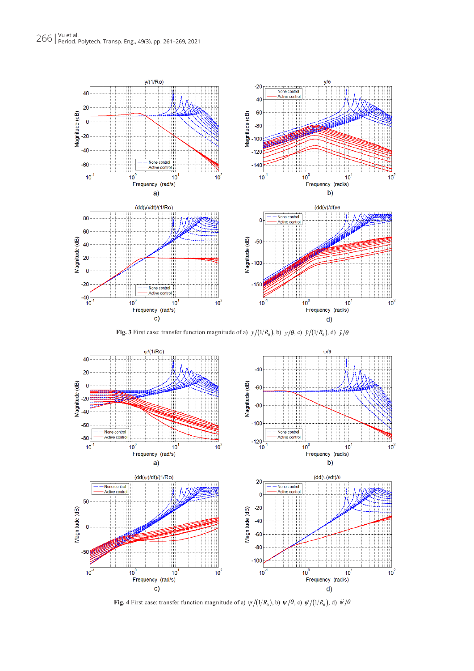

**Fig. 3** First case: transfer function magnitude of a)  $y/(1/R_0)$ , b)  $y/\theta$ , c)  $\ddot{y}/(1/R_0)$ , d)  $\ddot{y}/\theta$ 



**Fig. 4** First case: transfer function magnitude of a)  $\psi/(1/R_0)$ , b)  $\psi/\theta$ , c)  $\psi/(1/R_0)$ , d)  $\psi/\theta$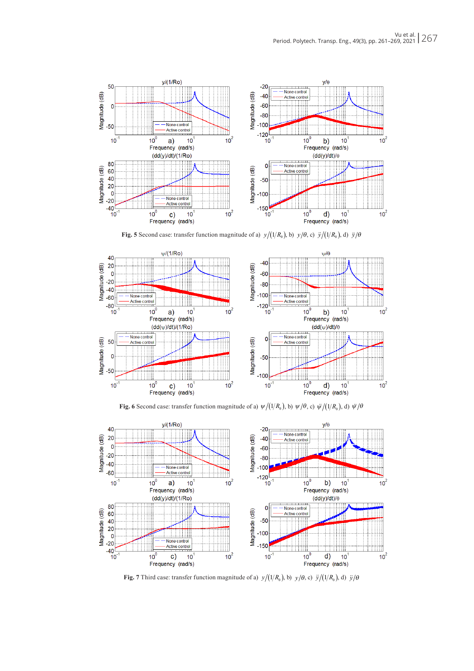

**Fig. 5** Second case: transfer function magnitude of a)  $y/(1/R_0)$ , b)  $y/\theta$ , c)  $\ddot{y}/(1/R_0)$ , d)  $\ddot{y}/\theta$ 



**Fig. 6** Second case: transfer function magnitude of a)  $\psi/(1/R_0)$ , b)  $\psi/\theta$ , c)  $\psi/(1/R_0)$ , d)  $\psi/\theta$ 



**Fig. 7** Third case: transfer function magnitude of a)  $y/(1/R_0)$ , b)  $y/\theta$ , c)  $\ddot{y}/(1/R_0)$ , d)  $\ddot{y}/\theta$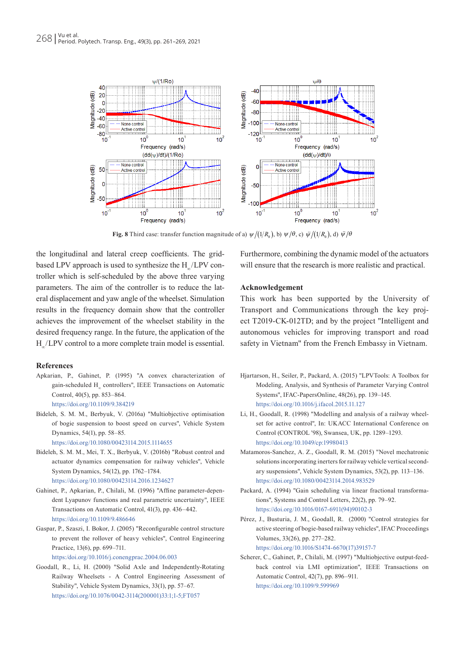

**Fig. 8** Third case: transfer function magnitude of a)  $\psi/(1/R_0)$ , b)  $\psi/\theta$ , c)  $\psi/(1/R_0)$ , d)  $\psi/\theta$ 

the longitudinal and lateral creep coefficients. The gridbased LPV approach is used to synthesize the H\_/LPV controller which is self-scheduled by the above three varying parameters. The aim of the controller is to reduce the lateral displacement and yaw angle of the wheelset. Simulation results in the frequency domain show that the controller achieves the improvement of the wheelset stability in the desired frequency range. In the future, the application of the H<sub>∞</sub>/LPV control to a more complete train model is essential.

#### **References**

Apkarian, P., Gahinet, P. (1995) "A convex characterization of gain-scheduled H∞ controllers", IEEE Transactions on Automatic Control, 40(5), pp. 853–864.

```
https://doi.org/10.1109/9.384219
```
Bideleh, S. M. M., Berbyuk, V. (2016a) "Multiobjective optimisation of bogie suspension to boost speed on curves", Vehicle System Dynamics, 54(1), pp. 58–85.

<https://doi.org/10.1080/00423114.2015.1114655>

- Bideleh, S. M. M., Mei, T. X., Berbyuk, V. (2016b) "Robust control and actuator dynamics compensation for railway vehicles", Vehicle System Dynamics, 54(12), pp. 1762–1784. <https://doi.org/10.1080/00423114.2016.1234627>
- Gahinet, P., Apkarian, P., Chilali, M. (1996) "Affine parameter-dependent Lyapunov functions and real parametric uncertainty", IEEE Transactions on Automatic Control, 41(3), pp. 436–442. <https://doi.org/10.1109/9.486646>
- Gaspar, P., Szaszi, I. Bokor, J. (2005) "Reconfigurable control structure to prevent the rollover of heavy vehicles", Control Engineering Practice, 13(6), pp. 699–711.

<https:/doi.org/10.1016/j.conengprac.2004.06.003>

Goodall, R., Li, H. (2000) "Solid Axle and Independently-Rotating Railway Wheelsets - A Control Engineering Assessment of Stability", Vehicle System Dynamics, 33(1), pp. 57–67. [https://doi.org/10.1076/0042-3114\(200001\)33:1;1-5;FT057](https://doi.org/10.1076/0042-3114(200001)33:1;1-5;FT057)

Furthermore, combining the dynamic model of the actuators will ensure that the research is more realistic and practical.

#### **Acknowledgement**

This work has been supported by the University of Transport and Communications through the key project T2019-CK-012TD; and by the project "Intelligent and autonomous vehicles for improving transport and road safety in Vietnam" from the French Embassy in Vietnam.

- Hjartarson, H., Seiler, P., Packard, A. (2015) "LPVTools: A Toolbox for Modeling, Analysis, and Synthesis of Parameter Varying Control Systems", IFAC-PapersOnline, 48(26), pp. 139–145. <https://doi.org/10.1016/j.ifacol.2015.11.127>
- Li, H., Goodall, R. (1998) "Modelling and analysis of a railway wheelset for active control", In: UKACC International Conference on Control (CONTROL '98), Swansea, UK, pp. 1289–1293. <https://doi.org/10.1049/cp:19980413>
- Matamoros-Sanchez, A. Z., Goodall, R. M. (2015) "Novel mechatronic solutions incorporating inerters for railway vehicle vertical secondary suspensions", Vehicle System Dynamics, 53(2), pp. 113–136. <https://doi.org/10.1080/00423114.2014.983529>
- Packard, A. (1994) "Gain scheduling via linear fractional transformations", Systems and Control Letters, 22(2), pp. 79–92. [https://doi.org/10.1016/0167-6911\(94\)90102-3](https://doi.org/10.1016/0167-6911(94)90102-3)
- Pérez, J., Busturia, J. M., Goodall, R. (2000) "Control strategies for active steering of bogie-based railway vehicles", IFAC Proceedings Volumes, 33(26), pp. 277–282.

[https://doi.org/10.1016/S1474-6670\(17\)39157-7](https://doi.org/10.1016/S1474-6670(17)39157-7)

Scherer, C., Gahinet, P., Chilali, M. (1997) "Multiobjective output-feedback control via LMI optimization", IEEE Transactions on Automatic Control, 42(7), pp. 896–911. <https://doi.org/10.1109/9.599969>